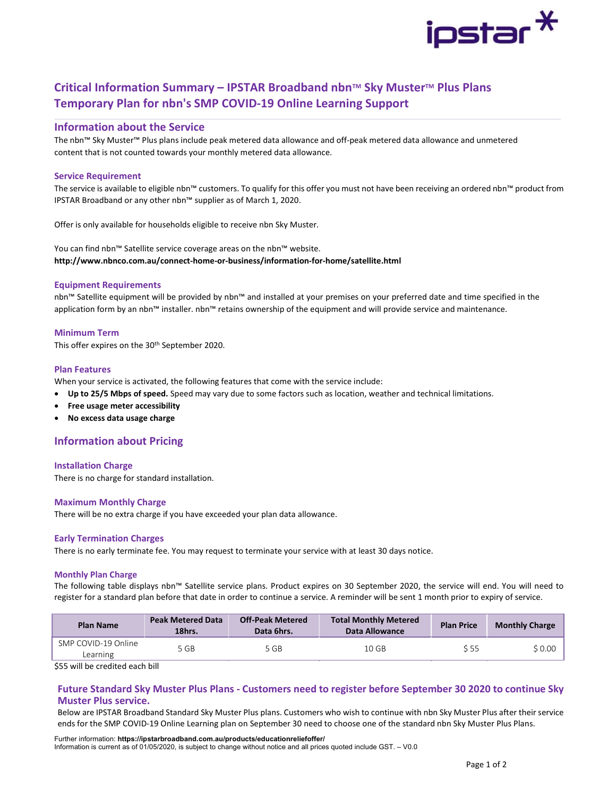

# Critical Information Summary – IPSTAR Broadband nbn™ Sky Muster™ Plus Plans Temporary Plan for nbn's SMP COVID-19 Online Learning Support

# Information about the Service

The nbn™ Sky Muster™ Plus plans include peak metered data allowance and off-peak metered data allowance and unmetered content that is not counted towards your monthly metered data allowance.

# Service Requirement

The service is available to eligible nbn™ customers. To qualify for this offer you must not have been receiving an ordered nbn™ product from IPSTAR Broadband or any other nbn™ supplier as of March 1, 2020.

Offer is only available for households eligible to receive nbn Sky Muster.

You can find nbn™ Satellite service coverage areas on the nbn™ website. http://www.nbnco.com.au/connect-home-or-business/information-for-home/satellite.html

# Equipment Requirements

nbn™ Satellite equipment will be provided by nbn™ and installed at your premises on your preferred date and time specified in the application form by an nbn™ installer. nbn™ retains ownership of the equipment and will provide service and maintenance.

# Minimum Term

This offer expires on the 30<sup>th</sup> September 2020.

## Plan Features

When your service is activated, the following features that come with the service include:

- Up to 25/5 Mbps of speed. Speed may vary due to some factors such as location, weather and technical limitations.
- Free usage meter accessibility
- No excess data usage charge

# Information about Pricing

### Installation Charge

There is no charge for standard installation.

### Maximum Monthly Charge

There will be no extra charge if you have exceeded your plan data allowance.

### Early Termination Charges

There is no early terminate fee. You may request to terminate your service with at least 30 days notice.

#### Monthly Plan Charge

The following table displays nbn™ Satellite service plans. Product expires on 30 September 2020, the service will end. You will need to register for a standard plan before that date in order to continue a service. A reminder will be sent 1 month prior to expiry of service.

| <b>Plan Name</b>                | <b>Peak Metered Data</b><br>18hrs. | <b>Off-Peak Metered</b><br>Data 6hrs. | <b>Total Monthly Metered</b><br>Data Allowance | <b>Plan Price</b> | <b>Monthly Charge</b> |  |
|---------------------------------|------------------------------------|---------------------------------------|------------------------------------------------|-------------------|-----------------------|--|
| SMP COVID-19 Online<br>Learning | 5 GB                               | 5 GB                                  | 10 GB                                          | S 55              | \$0.00                |  |

\$55 will be credited each bill

# Future Standard Sky Muster Plus Plans - Customers need to register before September 30 2020 to continue Sky Muster Plus service.

Below are IPSTAR Broadband Standard Sky Muster Plus plans. Customers who wish to continue with nbn Sky Muster Plus after their service ends for the SMP COVID-19 Online Learning plan on September 30 need to choose one of the standard nbn Sky Muster Plus Plans.

Further information: https://ipstarbroadband.com.au/products/educationreliefoffer/ Information is current as of 01/05/2020, is subject to change without notice and all prices quoted include GST. – V0.0